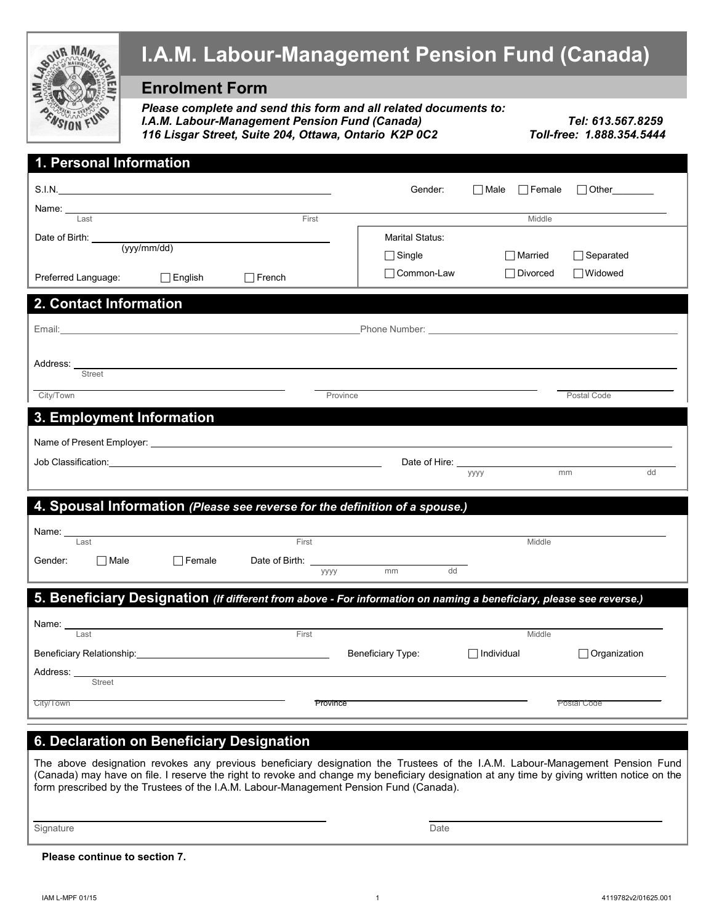

#### **6. Declaration on Beneficiary Designation**

The above designation revokes any previous beneficiary designation the Trustees of the I.A.M. Labour-Management Pension Fund (Canada) may have on file. I reserve the right to revoke and change my beneficiary designation at any time by giving written notice on the form prescribed by the Trustees of the I.A.M. Labour-Management Pension Fund (Canada).

City/Town Province Postal Code Postal Code Province Province Postal Code Postal Code

Signature Date (2001) and the Signature Date of the Signature Date of the Date of the Date of the Date of the D

**Please continue to section 7.**